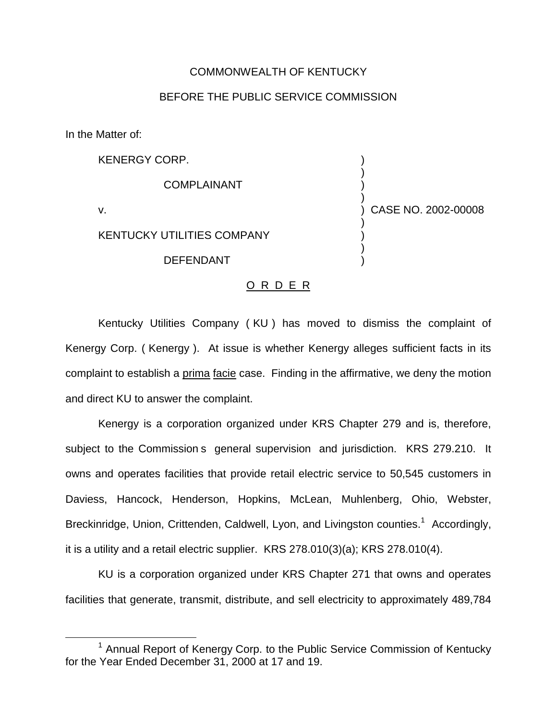## COMMONWEALTH OF KENTUCKY

## BEFORE THE PUBLIC SERVICE COMMISSION

In the Matter of:

| <b>KENERGY CORP.</b>              |                       |
|-----------------------------------|-----------------------|
| <b>COMPLAINANT</b>                |                       |
| V.                                | ) CASE NO. 2002-00008 |
| <b>KENTUCKY UTILITIES COMPANY</b> |                       |
| <b>DEFENDANT</b>                  |                       |

## O R D E R

Kentucky Utilities Company ( KU ) has moved to dismiss the complaint of Kenergy Corp. ( Kenergy ). At issue is whether Kenergy alleges sufficient facts in its complaint to establish a prima facie case. Finding in the affirmative, we deny the motion and direct KU to answer the complaint.

Kenergy is a corporation organized under KRS Chapter 279 and is, therefore, subject to the Commission s general supervision and jurisdiction. KRS 279.210. It owns and operates facilities that provide retail electric service to 50,545 customers in Daviess, Hancock, Henderson, Hopkins, McLean, Muhlenberg, Ohio, Webster, Breckinridge, Union, Crittenden, Caldwell, Lyon, and Livingston counties.<sup>1</sup> Accordingly, it is a utility and a retail electric supplier. KRS 278.010(3)(a); KRS 278.010(4).

KU is a corporation organized under KRS Chapter 271 that owns and operates facilities that generate, transmit, distribute, and sell electricity to approximately 489,784

 $1$  Annual Report of Kenergy Corp. to the Public Service Commission of Kentucky for the Year Ended December 31, 2000 at 17 and 19.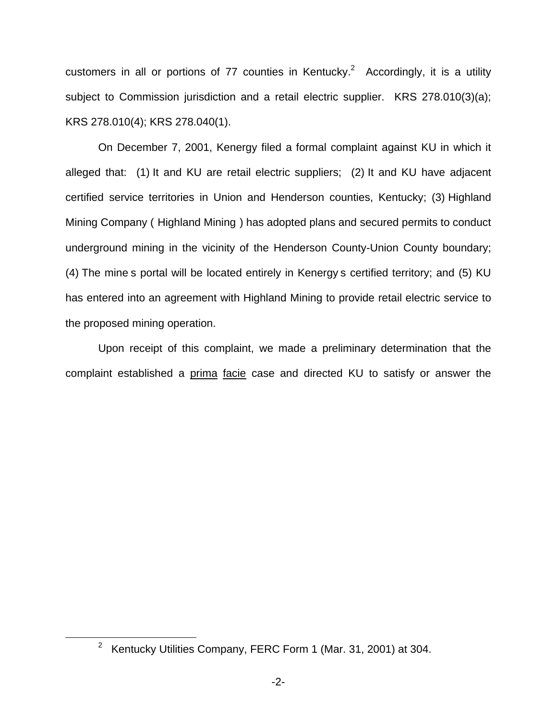customers in all or portions of 77 counties in Kentucky.<sup>2</sup> Accordingly, it is a utility subject to Commission jurisdiction and a retail electric supplier. KRS 278.010(3)(a); KRS 278.010(4); KRS 278.040(1).

On December 7, 2001, Kenergy filed a formal complaint against KU in which it alleged that: (1) It and KU are retail electric suppliers; (2) It and KU have adjacent certified service territories in Union and Henderson counties, Kentucky; (3) Highland Mining Company ( Highland Mining ) has adopted plans and secured permits to conduct underground mining in the vicinity of the Henderson County-Union County boundary; (4) The mine s portal will be located entirely in Kenergy s certified territory; and (5) KU has entered into an agreement with Highland Mining to provide retail electric service to the proposed mining operation.

Upon receipt of this complaint, we made a preliminary determination that the complaint established a prima facie case and directed KU to satisfy or answer the

<sup>2</sup> Kentucky Utilities Company, FERC Form 1 (Mar. 31, 2001) at 304.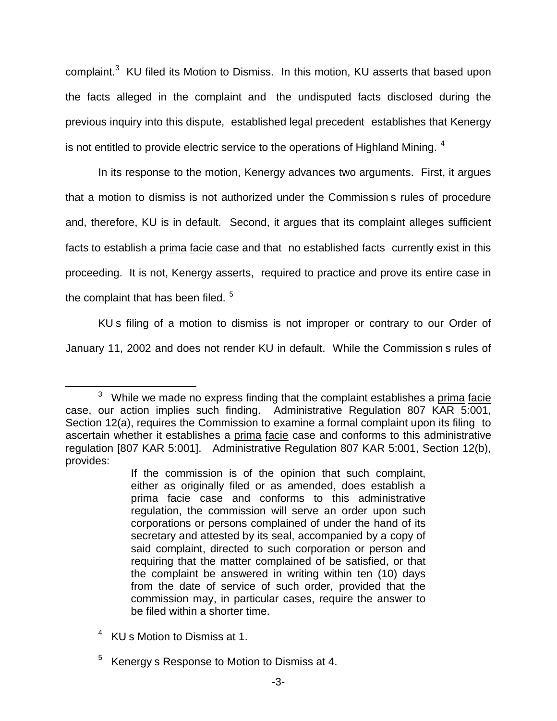complaint.<sup>3</sup> KU filed its Motion to Dismiss. In this motion, KU asserts that based upon the facts alleged in the complaint and the undisputed facts disclosed during the previous inquiry into this dispute, established legal precedent establishes that Kenergy is not entitled to provide electric service to the operations of Highland Mining. <sup>4</sup>

In its response to the motion, Kenergy advances two arguments. First, it argues that a motion to dismiss is not authorized under the Commission s rules of procedure and, therefore, KU is in default. Second, it argues that its complaint alleges sufficient facts to establish a prima facie case and that no established facts currently exist in this proceeding. It is not, Kenergy asserts, required to practice and prove its entire case in the complaint that has been filed.  $5$ 

KU s filing of a motion to dismiss is not improper or contrary to our Order of January 11, 2002 and does not render KU in default. While the Commission s rules of

<sup>&</sup>lt;sup>3</sup> While we made no express finding that the complaint establishes a prima facie case, our action implies such finding. Administrative Regulation 807 KAR 5:001, Section 12(a), requires the Commission to examine a formal complaint upon its filing to ascertain whether it establishes a prima facie case and conforms to this administrative regulation [807 KAR 5:001]. Administrative Regulation 807 KAR 5:001, Section 12(b), provides:

If the commission is of the opinion that such complaint, either as originally filed or as amended, does establish a prima facie case and conforms to this administrative regulation, the commission will serve an order upon such corporations or persons complained of under the hand of its secretary and attested by its seal, accompanied by a copy of said complaint, directed to such corporation or person and requiring that the matter complained of be satisfied, or that the complaint be answered in writing within ten (10) days from the date of service of such order, provided that the commission may, in particular cases, require the answer to be filed within a shorter time.

<sup>4</sup> KU s Motion to Dismiss at 1.

<sup>5</sup> Kenergy s Response to Motion to Dismiss at 4.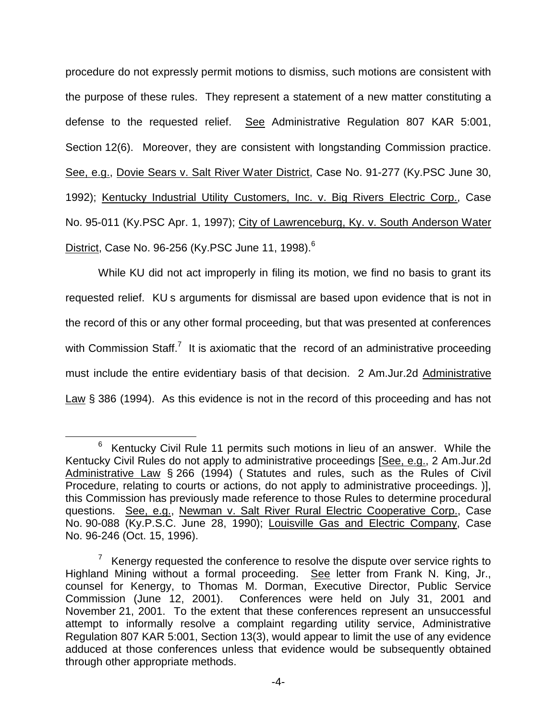procedure do not expressly permit motions to dismiss, such motions are consistent with the purpose of these rules. They represent a statement of a new matter constituting a defense to the requested relief. See Administrative Regulation 807 KAR 5:001, Section 12(6). Moreover, they are consistent with longstanding Commission practice. See, e.g., Dovie Sears v. Salt River Water District, Case No. 91-277 (Ky.PSC June 30, 1992); Kentucky Industrial Utility Customers, Inc. v. Big Rivers Electric Corp., Case No. 95-011 (Ky.PSC Apr. 1, 1997); City of Lawrenceburg, Ky. v. South Anderson Water District, Case No. 96-256 (Ky.PSC June 11, 1998).<sup>6</sup>

While KU did not act improperly in filing its motion, we find no basis to grant its requested relief. KU s arguments for dismissal are based upon evidence that is not in the record of this or any other formal proceeding, but that was presented at conferences with Commission Staff.<sup>7</sup> It is axiomatic that the record of an administrative proceeding must include the entire evidentiary basis of that decision. 2 Am.Jur.2d Administrative Law § 386 (1994). As this evidence is not in the record of this proceeding and has not

 $6$  Kentucky Civil Rule 11 permits such motions in lieu of an answer. While the Kentucky Civil Rules do not apply to administrative proceedings [See, e.g., 2 Am.Jur.2d Administrative Law § 266 (1994) ( Statutes and rules, such as the Rules of Civil Procedure, relating to courts or actions, do not apply to administrative proceedings. )], this Commission has previously made reference to those Rules to determine procedural questions. See, e.g., Newman v. Salt River Rural Electric Cooperative Corp., Case No. 90-088 (Ky.P.S.C. June 28, 1990); Louisville Gas and Electric Company, Case No. 96-246 (Oct. 15, 1996).

 $7$  Kenergy requested the conference to resolve the dispute over service rights to Highland Mining without a formal proceeding. See letter from Frank N. King, Jr., counsel for Kenergy, to Thomas M. Dorman, Executive Director, Public Service Commission (June 12, 2001). Conferences were held on July 31, 2001 and November 21, 2001. To the extent that these conferences represent an unsuccessful attempt to informally resolve a complaint regarding utility service, Administrative Regulation 807 KAR 5:001, Section 13(3), would appear to limit the use of any evidence adduced at those conferences unless that evidence would be subsequently obtained through other appropriate methods.